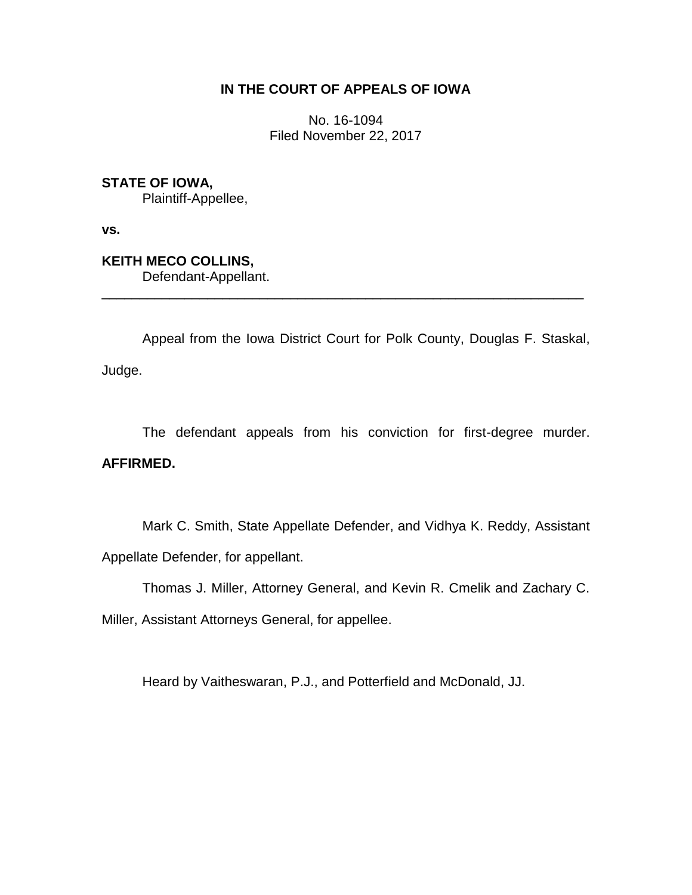## **IN THE COURT OF APPEALS OF IOWA**

No. 16-1094 Filed November 22, 2017

**STATE OF IOWA,**

Plaintiff-Appellee,

**vs.**

**KEITH MECO COLLINS,** Defendant-Appellant.

Appeal from the Iowa District Court for Polk County, Douglas F. Staskal, Judge.

\_\_\_\_\_\_\_\_\_\_\_\_\_\_\_\_\_\_\_\_\_\_\_\_\_\_\_\_\_\_\_\_\_\_\_\_\_\_\_\_\_\_\_\_\_\_\_\_\_\_\_\_\_\_\_\_\_\_\_\_\_\_\_\_

The defendant appeals from his conviction for first-degree murder.

# **AFFIRMED.**

Mark C. Smith, State Appellate Defender, and Vidhya K. Reddy, Assistant Appellate Defender, for appellant.

Thomas J. Miller, Attorney General, and Kevin R. Cmelik and Zachary C.

Miller, Assistant Attorneys General, for appellee.

Heard by Vaitheswaran, P.J., and Potterfield and McDonald, JJ.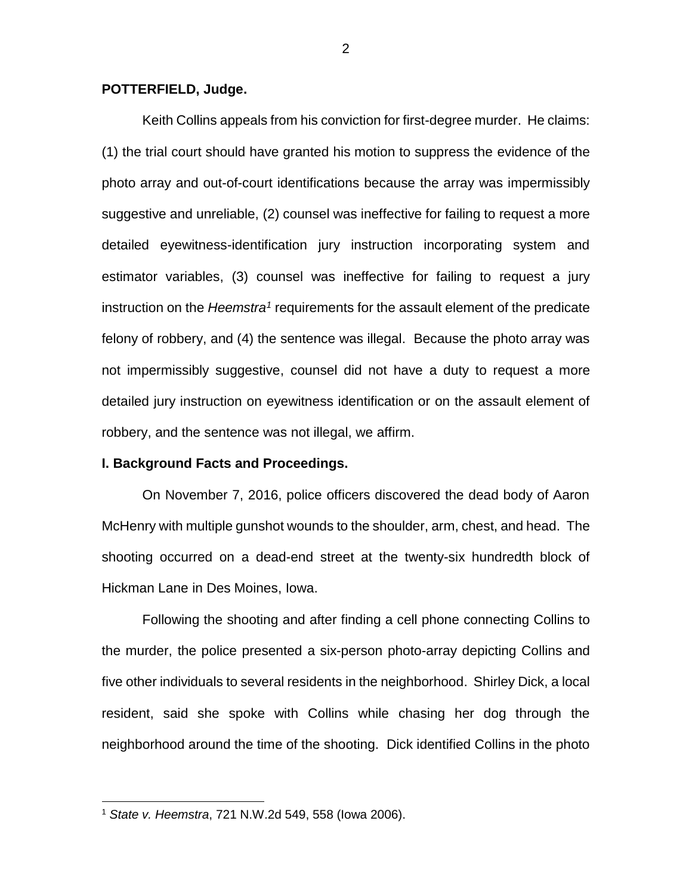### **POTTERFIELD, Judge.**

Keith Collins appeals from his conviction for first-degree murder. He claims: (1) the trial court should have granted his motion to suppress the evidence of the photo array and out-of-court identifications because the array was impermissibly suggestive and unreliable, (2) counsel was ineffective for failing to request a more detailed eyewitness-identification jury instruction incorporating system and estimator variables, (3) counsel was ineffective for failing to request a jury instruction on the *Heemstra<sup>1</sup>* requirements for the assault element of the predicate felony of robbery, and (4) the sentence was illegal. Because the photo array was not impermissibly suggestive, counsel did not have a duty to request a more detailed jury instruction on eyewitness identification or on the assault element of robbery, and the sentence was not illegal, we affirm.

### **I. Background Facts and Proceedings.**

On November 7, 2016, police officers discovered the dead body of Aaron McHenry with multiple gunshot wounds to the shoulder, arm, chest, and head. The shooting occurred on a dead-end street at the twenty-six hundredth block of Hickman Lane in Des Moines, Iowa.

Following the shooting and after finding a cell phone connecting Collins to the murder, the police presented a six-person photo-array depicting Collins and five other individuals to several residents in the neighborhood. Shirley Dick, a local resident, said she spoke with Collins while chasing her dog through the neighborhood around the time of the shooting. Dick identified Collins in the photo

 $\overline{a}$ 

<sup>1</sup> *State v. Heemstra*, 721 N.W.2d 549, 558 (Iowa 2006).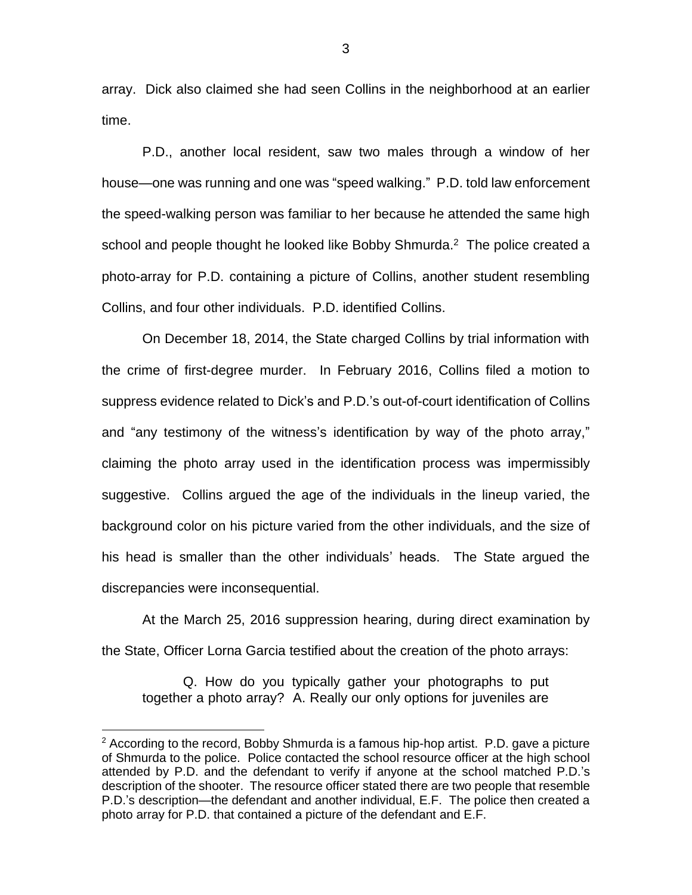array. Dick also claimed she had seen Collins in the neighborhood at an earlier time.

P.D., another local resident, saw two males through a window of her house—one was running and one was "speed walking." P.D. told law enforcement the speed-walking person was familiar to her because he attended the same high school and people thought he looked like Bobby Shmurda.<sup>2</sup> The police created a photo-array for P.D. containing a picture of Collins, another student resembling Collins, and four other individuals. P.D. identified Collins.

On December 18, 2014, the State charged Collins by trial information with the crime of first-degree murder. In February 2016, Collins filed a motion to suppress evidence related to Dick's and P.D.'s out-of-court identification of Collins and "any testimony of the witness's identification by way of the photo array," claiming the photo array used in the identification process was impermissibly suggestive. Collins argued the age of the individuals in the lineup varied, the background color on his picture varied from the other individuals, and the size of his head is smaller than the other individuals' heads. The State argued the discrepancies were inconsequential.

At the March 25, 2016 suppression hearing, during direct examination by the State, Officer Lorna Garcia testified about the creation of the photo arrays:

Q. How do you typically gather your photographs to put together a photo array? A. Really our only options for juveniles are

 $\overline{a}$ 

3

 $2$  According to the record, Bobby Shmurda is a famous hip-hop artist. P.D. gave a picture of Shmurda to the police. Police contacted the school resource officer at the high school attended by P.D. and the defendant to verify if anyone at the school matched P.D.'s description of the shooter. The resource officer stated there are two people that resemble P.D.'s description—the defendant and another individual, E.F. The police then created a photo array for P.D. that contained a picture of the defendant and E.F.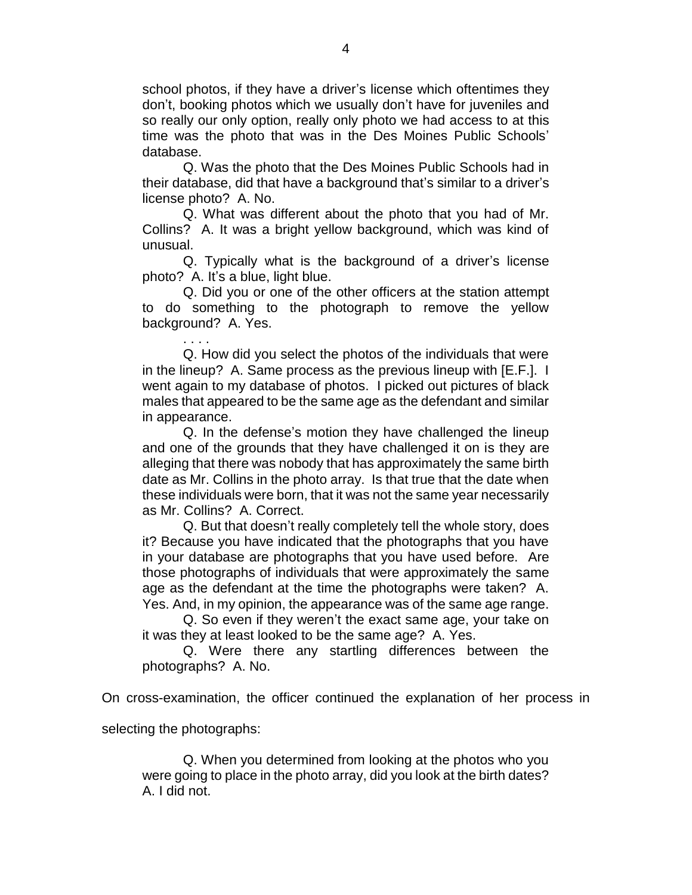school photos, if they have a driver's license which oftentimes they don't, booking photos which we usually don't have for juveniles and so really our only option, really only photo we had access to at this time was the photo that was in the Des Moines Public Schools' database.

Q. Was the photo that the Des Moines Public Schools had in their database, did that have a background that's similar to a driver's license photo? A. No.

Q. What was different about the photo that you had of Mr. Collins? A. It was a bright yellow background, which was kind of unusual.

Q. Typically what is the background of a driver's license photo? A. It's a blue, light blue.

Q. Did you or one of the other officers at the station attempt to do something to the photograph to remove the yellow background? A. Yes.

Q. How did you select the photos of the individuals that were in the lineup? A. Same process as the previous lineup with [E.F.]. I went again to my database of photos. I picked out pictures of black males that appeared to be the same age as the defendant and similar in appearance.

Q. In the defense's motion they have challenged the lineup and one of the grounds that they have challenged it on is they are alleging that there was nobody that has approximately the same birth date as Mr. Collins in the photo array. Is that true that the date when these individuals were born, that it was not the same year necessarily as Mr. Collins? A. Correct.

Q. But that doesn't really completely tell the whole story, does it? Because you have indicated that the photographs that you have in your database are photographs that you have used before. Are those photographs of individuals that were approximately the same age as the defendant at the time the photographs were taken? A. Yes. And, in my opinion, the appearance was of the same age range.

Q. So even if they weren't the exact same age, your take on it was they at least looked to be the same age? A. Yes.

Q. Were there any startling differences between the photographs? A. No.

On cross-examination, the officer continued the explanation of her process in

selecting the photographs:

. . . .

Q. When you determined from looking at the photos who you were going to place in the photo array, did you look at the birth dates? A. I did not.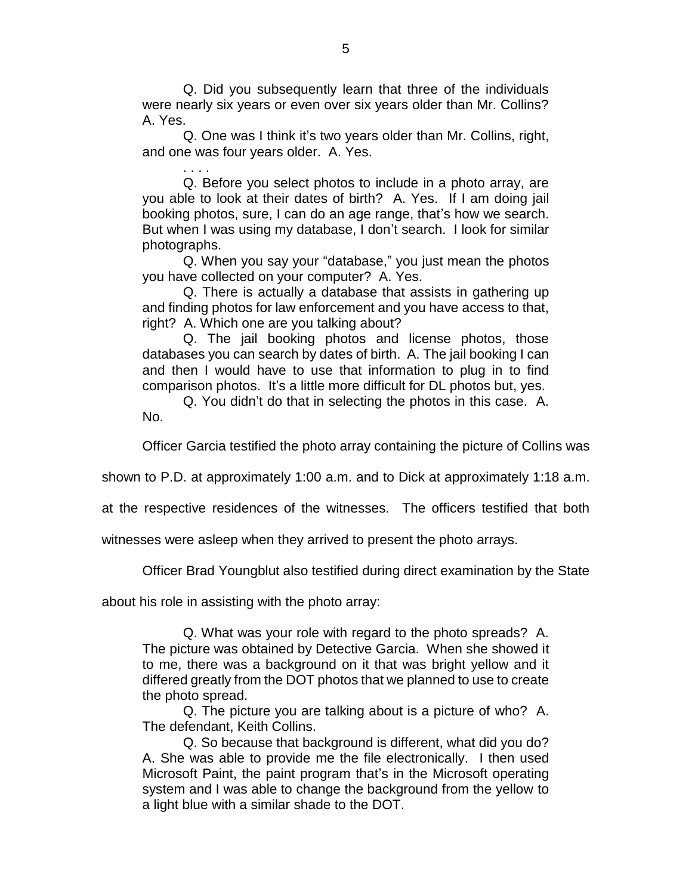Q. Did you subsequently learn that three of the individuals were nearly six years or even over six years older than Mr. Collins? A. Yes.

Q. One was I think it's two years older than Mr. Collins, right, and one was four years older. A. Yes.

. . . . Q. Before you select photos to include in a photo array, are you able to look at their dates of birth? A. Yes. If I am doing jail booking photos, sure, I can do an age range, that's how we search. But when I was using my database, I don't search. I look for similar photographs.

Q. When you say your "database," you just mean the photos you have collected on your computer? A. Yes.

Q. There is actually a database that assists in gathering up and finding photos for law enforcement and you have access to that, right? A. Which one are you talking about?

Q. The jail booking photos and license photos, those databases you can search by dates of birth. A. The jail booking I can and then I would have to use that information to plug in to find comparison photos. It's a little more difficult for DL photos but, yes.

Q. You didn't do that in selecting the photos in this case. A. No.

Officer Garcia testified the photo array containing the picture of Collins was

shown to P.D. at approximately 1:00 a.m. and to Dick at approximately 1:18 a.m.

at the respective residences of the witnesses. The officers testified that both

witnesses were asleep when they arrived to present the photo arrays.

Officer Brad Youngblut also testified during direct examination by the State

about his role in assisting with the photo array:

Q. What was your role with regard to the photo spreads? A. The picture was obtained by Detective Garcia. When she showed it to me, there was a background on it that was bright yellow and it differed greatly from the DOT photos that we planned to use to create the photo spread.

Q. The picture you are talking about is a picture of who? A. The defendant, Keith Collins.

Q. So because that background is different, what did you do? A. She was able to provide me the file electronically. I then used Microsoft Paint, the paint program that's in the Microsoft operating system and I was able to change the background from the yellow to a light blue with a similar shade to the DOT.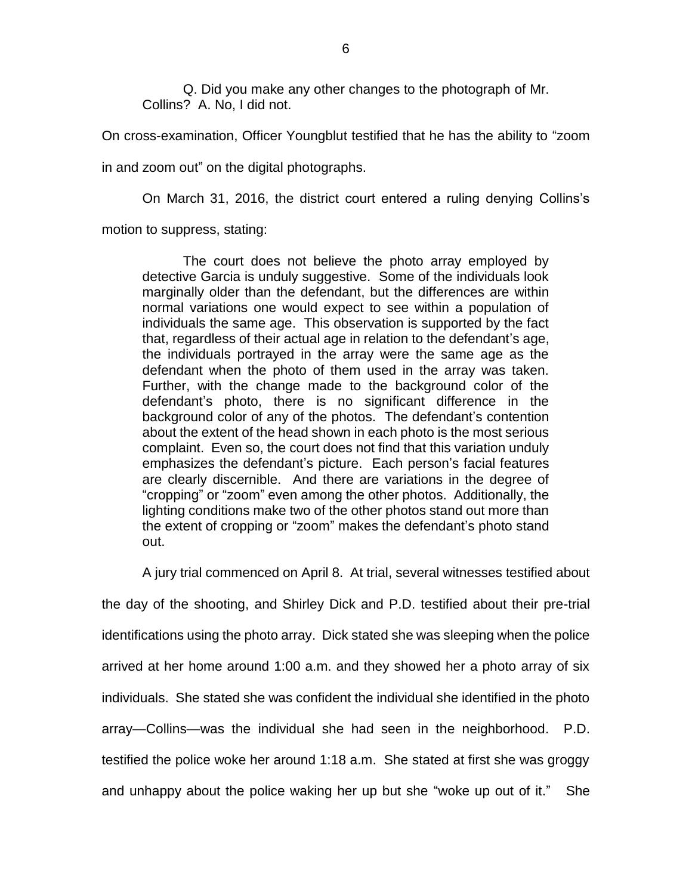Q. Did you make any other changes to the photograph of Mr. Collins? A. No, I did not.

On cross-examination, Officer Youngblut testified that he has the ability to "zoom

in and zoom out" on the digital photographs.

On March 31, 2016, the district court entered a ruling denying Collins's

motion to suppress, stating:

The court does not believe the photo array employed by detective Garcia is unduly suggestive. Some of the individuals look marginally older than the defendant, but the differences are within normal variations one would expect to see within a population of individuals the same age. This observation is supported by the fact that, regardless of their actual age in relation to the defendant's age, the individuals portrayed in the array were the same age as the defendant when the photo of them used in the array was taken. Further, with the change made to the background color of the defendant's photo, there is no significant difference in the background color of any of the photos. The defendant's contention about the extent of the head shown in each photo is the most serious complaint. Even so, the court does not find that this variation unduly emphasizes the defendant's picture. Each person's facial features are clearly discernible. And there are variations in the degree of "cropping" or "zoom" even among the other photos. Additionally, the lighting conditions make two of the other photos stand out more than the extent of cropping or "zoom" makes the defendant's photo stand out.

A jury trial commenced on April 8. At trial, several witnesses testified about

the day of the shooting, and Shirley Dick and P.D. testified about their pre-trial identifications using the photo array. Dick stated she was sleeping when the police arrived at her home around 1:00 a.m. and they showed her a photo array of six individuals. She stated she was confident the individual she identified in the photo array—Collins—was the individual she had seen in the neighborhood. P.D. testified the police woke her around 1:18 a.m. She stated at first she was groggy and unhappy about the police waking her up but she "woke up out of it." She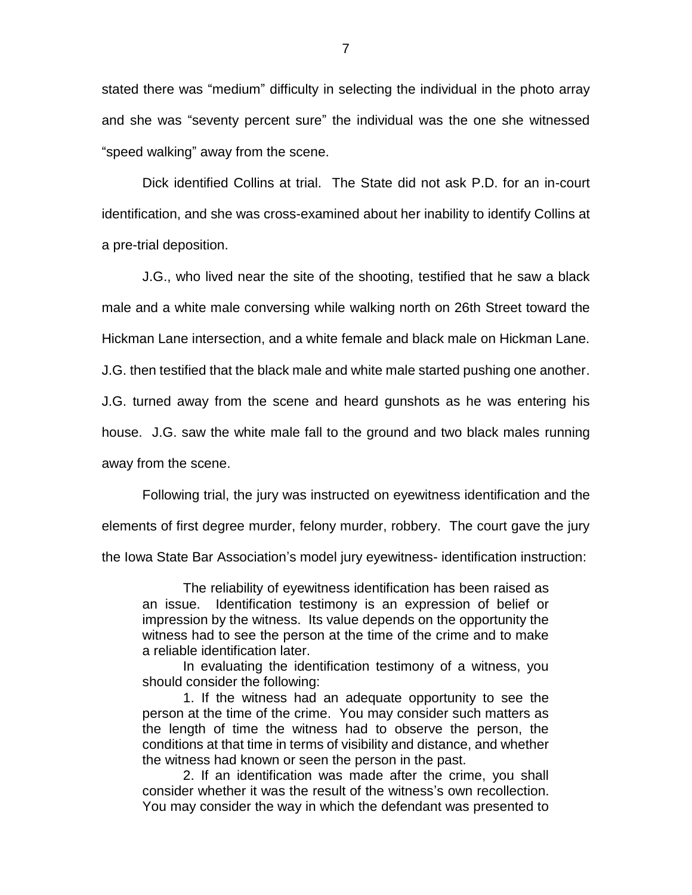stated there was "medium" difficulty in selecting the individual in the photo array and she was "seventy percent sure" the individual was the one she witnessed "speed walking" away from the scene.

Dick identified Collins at trial. The State did not ask P.D. for an in-court identification, and she was cross-examined about her inability to identify Collins at a pre-trial deposition.

J.G., who lived near the site of the shooting, testified that he saw a black male and a white male conversing while walking north on 26th Street toward the Hickman Lane intersection, and a white female and black male on Hickman Lane.

J.G. then testified that the black male and white male started pushing one another.

J.G. turned away from the scene and heard gunshots as he was entering his

house. J.G. saw the white male fall to the ground and two black males running

away from the scene.

Following trial, the jury was instructed on eyewitness identification and the

elements of first degree murder, felony murder, robbery. The court gave the jury

the Iowa State Bar Association's model jury eyewitness- identification instruction:

The reliability of eyewitness identification has been raised as an issue. Identification testimony is an expression of belief or impression by the witness. Its value depends on the opportunity the witness had to see the person at the time of the crime and to make a reliable identification later.

In evaluating the identification testimony of a witness, you should consider the following:

1. If the witness had an adequate opportunity to see the person at the time of the crime. You may consider such matters as the length of time the witness had to observe the person, the conditions at that time in terms of visibility and distance, and whether the witness had known or seen the person in the past.

2. If an identification was made after the crime, you shall consider whether it was the result of the witness's own recollection. You may consider the way in which the defendant was presented to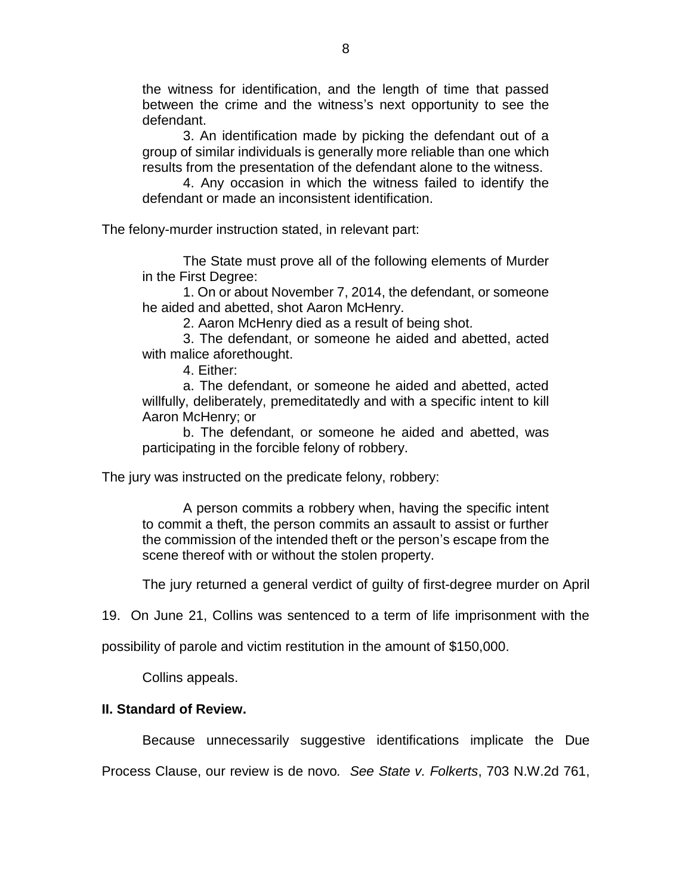the witness for identification, and the length of time that passed between the crime and the witness's next opportunity to see the defendant.

3. An identification made by picking the defendant out of a group of similar individuals is generally more reliable than one which results from the presentation of the defendant alone to the witness.

4. Any occasion in which the witness failed to identify the defendant or made an inconsistent identification.

The felony-murder instruction stated, in relevant part:

The State must prove all of the following elements of Murder in the First Degree:

1. On or about November 7, 2014, the defendant, or someone he aided and abetted, shot Aaron McHenry.

2. Aaron McHenry died as a result of being shot.

3. The defendant, or someone he aided and abetted, acted with malice aforethought.

4. Either:

a. The defendant, or someone he aided and abetted, acted willfully, deliberately, premeditatedly and with a specific intent to kill Aaron McHenry; or

b. The defendant, or someone he aided and abetted, was participating in the forcible felony of robbery.

The jury was instructed on the predicate felony, robbery:

A person commits a robbery when, having the specific intent to commit a theft, the person commits an assault to assist or further the commission of the intended theft or the person's escape from the scene thereof with or without the stolen property.

The jury returned a general verdict of guilty of first-degree murder on April

19. On June 21, Collins was sentenced to a term of life imprisonment with the

possibility of parole and victim restitution in the amount of \$150,000.

Collins appeals.

## **II. Standard of Review.**

Because unnecessarily suggestive identifications implicate the Due

Process Clause, our review is de novo*. See State v. Folkerts*, 703 N.W.2d 761,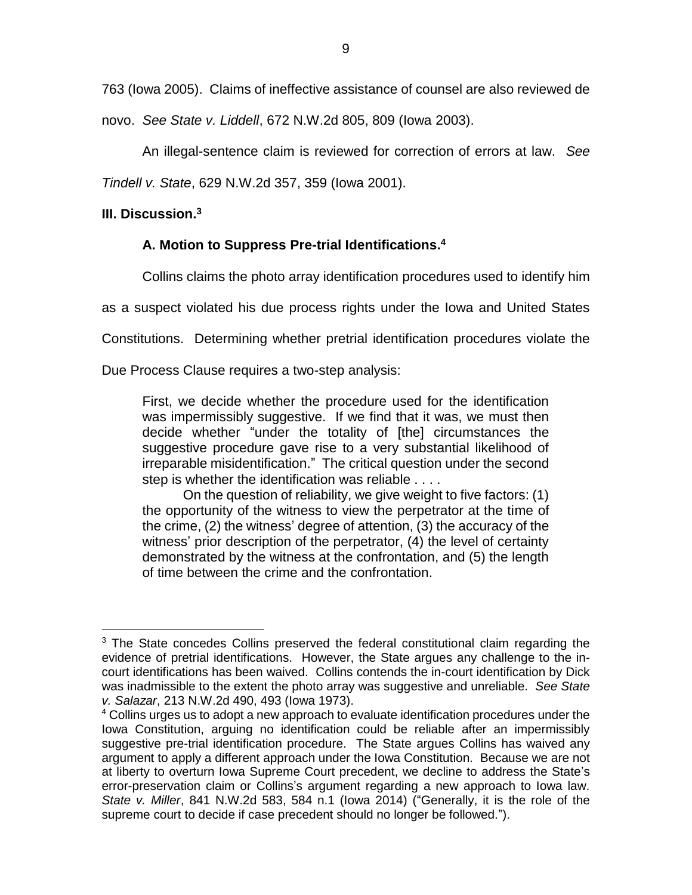763 (Iowa 2005). Claims of ineffective assistance of counsel are also reviewed de

novo. *See State v. Liddell*, 672 N.W.2d 805, 809 (Iowa 2003).

An illegal-sentence claim is reviewed for correction of errors at law. *See*

*Tindell v. State*, 629 N.W.2d 357, 359 (Iowa 2001).

# **III. Discussion.<sup>3</sup>**

# **A. Motion to Suppress Pre-trial Identifications. 4**

Collins claims the photo array identification procedures used to identify him

as a suspect violated his due process rights under the Iowa and United States

Constitutions. Determining whether pretrial identification procedures violate the

Due Process Clause requires a two-step analysis:

First, we decide whether the procedure used for the identification was impermissibly suggestive. If we find that it was, we must then decide whether "under the totality of [the] circumstances the suggestive procedure gave rise to a very substantial likelihood of irreparable misidentification." The critical question under the second step is whether the identification was reliable . . . .

On the question of reliability, we give weight to five factors: (1) the opportunity of the witness to view the perpetrator at the time of the crime, (2) the witness' degree of attention, (3) the accuracy of the witness' prior description of the perpetrator, (4) the level of certainty demonstrated by the witness at the confrontation, and (5) the length of time between the crime and the confrontation.

 $\overline{a}$ <sup>3</sup> The State concedes Collins preserved the federal constitutional claim regarding the evidence of pretrial identifications. However, the State argues any challenge to the incourt identifications has been waived. Collins contends the in-court identification by Dick was inadmissible to the extent the photo array was suggestive and unreliable. *See State v. Salazar*, 213 N.W.2d 490, 493 (Iowa 1973).

<sup>&</sup>lt;sup>4</sup> Collins urges us to adopt a new approach to evaluate identification procedures under the Iowa Constitution, arguing no identification could be reliable after an impermissibly suggestive pre-trial identification procedure. The State argues Collins has waived any argument to apply a different approach under the Iowa Constitution. Because we are not at liberty to overturn Iowa Supreme Court precedent, we decline to address the State's error-preservation claim or Collins's argument regarding a new approach to Iowa law. *State v. Miller*, 841 N.W.2d 583, 584 n.1 (Iowa 2014) ("Generally, it is the role of the supreme court to decide if case precedent should no longer be followed.").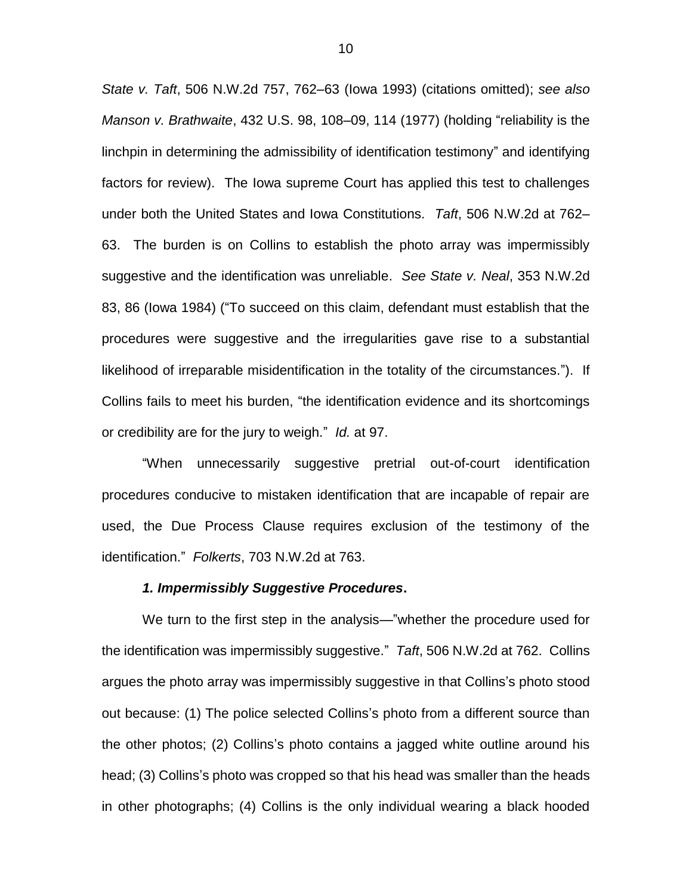*State v. Taft*, 506 N.W.2d 757, 762–63 (Iowa 1993) (citations omitted); *see also Manson v. Brathwaite*, 432 U.S. 98, 108–09, 114 (1977) (holding "reliability is the linchpin in determining the admissibility of identification testimony" and identifying factors for review). The Iowa supreme Court has applied this test to challenges under both the United States and Iowa Constitutions. *Taft*, 506 N.W.2d at 762– 63.The burden is on Collins to establish the photo array was impermissibly suggestive and the identification was unreliable. *See State v. Neal*, 353 N.W.2d 83, 86 (Iowa 1984) ("To succeed on this claim, defendant must establish that the procedures were suggestive and the irregularities gave rise to a substantial likelihood of irreparable misidentification in the totality of the circumstances."). If Collins fails to meet his burden, "the identification evidence and its shortcomings or credibility are for the jury to weigh." *Id.* at 97.

"When unnecessarily suggestive pretrial out-of-court identification procedures conducive to mistaken identification that are incapable of repair are used, the Due Process Clause requires exclusion of the testimony of the identification." *Folkerts*, 703 N.W.2d at 763.

#### *1. Impermissibly Suggestive Procedures***.**

We turn to the first step in the analysis—"whether the procedure used for the identification was impermissibly suggestive." *Taft*, 506 N.W.2d at 762. Collins argues the photo array was impermissibly suggestive in that Collins's photo stood out because: (1) The police selected Collins's photo from a different source than the other photos; (2) Collins's photo contains a jagged white outline around his head; (3) Collins's photo was cropped so that his head was smaller than the heads in other photographs; (4) Collins is the only individual wearing a black hooded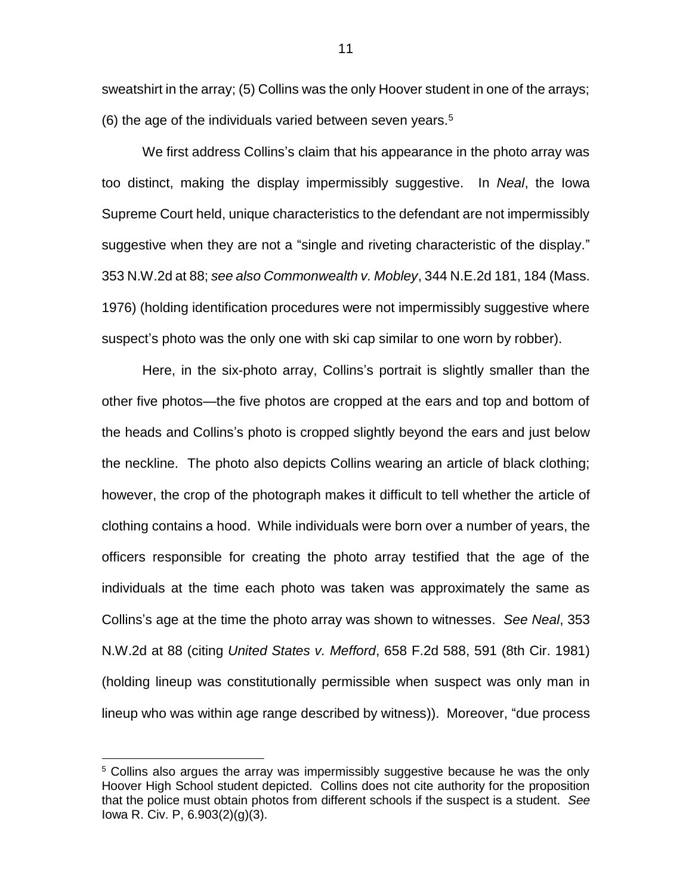sweatshirt in the array; (5) Collins was the only Hoover student in one of the arrays; (6) the age of the individuals varied between seven years. $5$ 

We first address Collins's claim that his appearance in the photo array was too distinct, making the display impermissibly suggestive. In *Neal*, the Iowa Supreme Court held, unique characteristics to the defendant are not impermissibly suggestive when they are not a "single and riveting characteristic of the display." 353 N.W.2d at 88; *see also Commonwealth v. Mobley*, 344 N.E.2d 181, 184 (Mass. 1976) (holding identification procedures were not impermissibly suggestive where suspect's photo was the only one with ski cap similar to one worn by robber).

Here, in the six-photo array, Collins's portrait is slightly smaller than the other five photos—the five photos are cropped at the ears and top and bottom of the heads and Collins's photo is cropped slightly beyond the ears and just below the neckline. The photo also depicts Collins wearing an article of black clothing; however, the crop of the photograph makes it difficult to tell whether the article of clothing contains a hood. While individuals were born over a number of years, the officers responsible for creating the photo array testified that the age of the individuals at the time each photo was taken was approximately the same as Collins's age at the time the photo array was shown to witnesses. *See Neal*, 353 N.W.2d at 88 (citing *United States v. Mefford*, 658 F.2d 588, 591 (8th Cir. 1981) (holding lineup was constitutionally permissible when suspect was only man in lineup who was within age range described by witness)). Moreover, "due process

 $\overline{a}$ 

<sup>&</sup>lt;sup>5</sup> Collins also argues the array was impermissibly suggestive because he was the only Hoover High School student depicted. Collins does not cite authority for the proposition that the police must obtain photos from different schools if the suspect is a student. *See*  Iowa R. Civ. P, 6.903(2)(g)(3).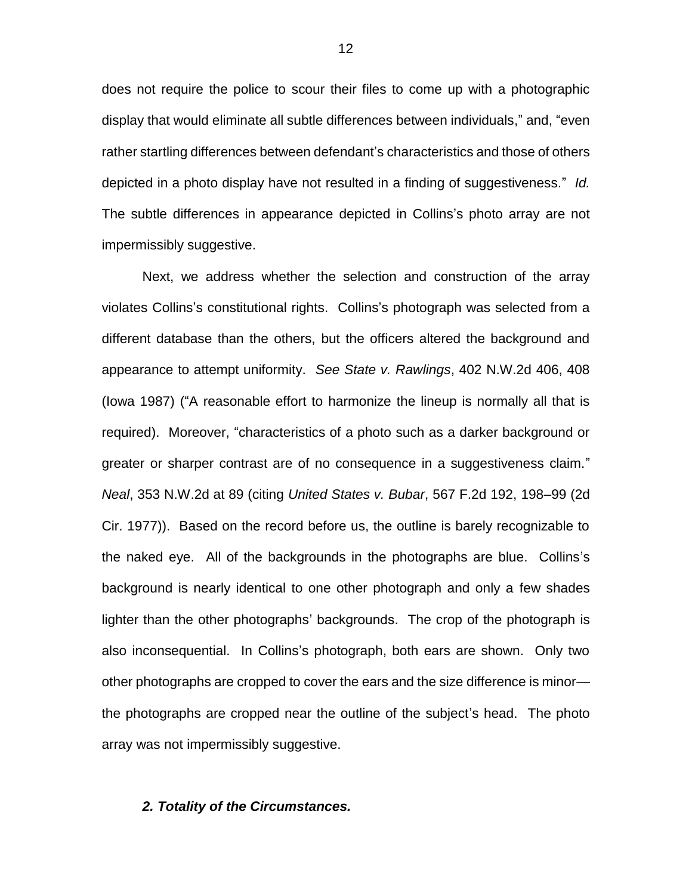does not require the police to scour their files to come up with a photographic display that would eliminate all subtle differences between individuals," and, "even rather startling differences between defendant's characteristics and those of others depicted in a photo display have not resulted in a finding of suggestiveness." *Id.*  The subtle differences in appearance depicted in Collins's photo array are not impermissibly suggestive.

Next, we address whether the selection and construction of the array violates Collins's constitutional rights. Collins's photograph was selected from a different database than the others, but the officers altered the background and appearance to attempt uniformity. *See State v. Rawlings*, 402 N.W.2d 406, 408 (Iowa 1987) ("A reasonable effort to harmonize the lineup is normally all that is required). Moreover, "characteristics of a photo such as a darker background or greater or sharper contrast are of no consequence in a suggestiveness claim." *Neal*, 353 N.W.2d at 89 (citing *United States v. Bubar*, 567 F.2d 192, 198–99 (2d Cir. 1977)). Based on the record before us, the outline is barely recognizable to the naked eye. All of the backgrounds in the photographs are blue. Collins's background is nearly identical to one other photograph and only a few shades lighter than the other photographs' backgrounds. The crop of the photograph is also inconsequential. In Collins's photograph, both ears are shown. Only two other photographs are cropped to cover the ears and the size difference is minor the photographs are cropped near the outline of the subject's head. The photo array was not impermissibly suggestive.

### *2. Totality of the Circumstances.*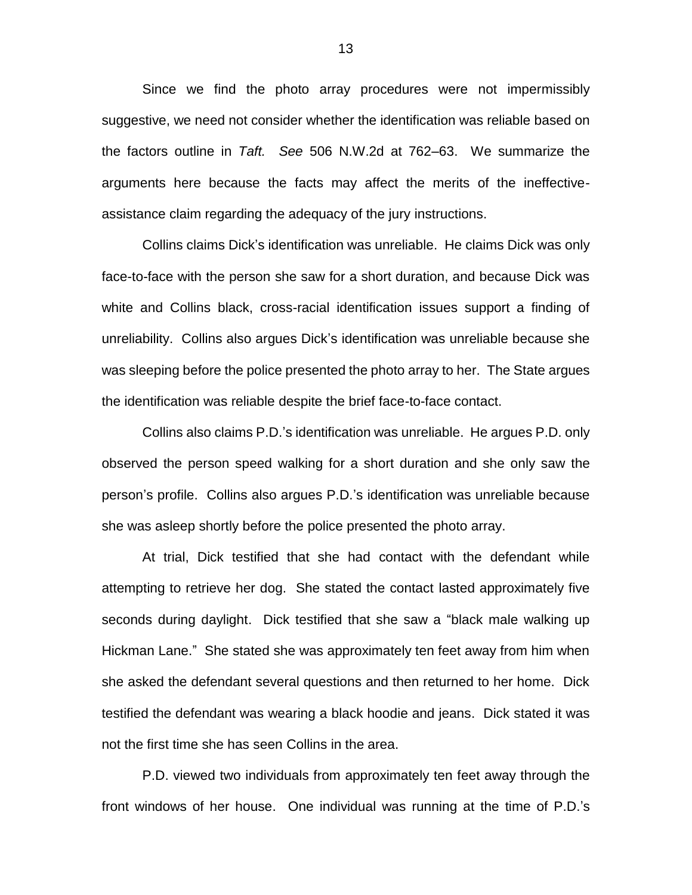Since we find the photo array procedures were not impermissibly suggestive, we need not consider whether the identification was reliable based on the factors outline in *Taft. See* 506 N.W.2d at 762–63. We summarize the arguments here because the facts may affect the merits of the ineffectiveassistance claim regarding the adequacy of the jury instructions.

Collins claims Dick's identification was unreliable. He claims Dick was only face-to-face with the person she saw for a short duration, and because Dick was white and Collins black, cross-racial identification issues support a finding of unreliability. Collins also argues Dick's identification was unreliable because she was sleeping before the police presented the photo array to her. The State argues the identification was reliable despite the brief face-to-face contact.

Collins also claims P.D.'s identification was unreliable. He argues P.D. only observed the person speed walking for a short duration and she only saw the person's profile. Collins also argues P.D.'s identification was unreliable because she was asleep shortly before the police presented the photo array.

At trial, Dick testified that she had contact with the defendant while attempting to retrieve her dog. She stated the contact lasted approximately five seconds during daylight. Dick testified that she saw a "black male walking up Hickman Lane." She stated she was approximately ten feet away from him when she asked the defendant several questions and then returned to her home. Dick testified the defendant was wearing a black hoodie and jeans. Dick stated it was not the first time she has seen Collins in the area.

P.D. viewed two individuals from approximately ten feet away through the front windows of her house. One individual was running at the time of P.D.'s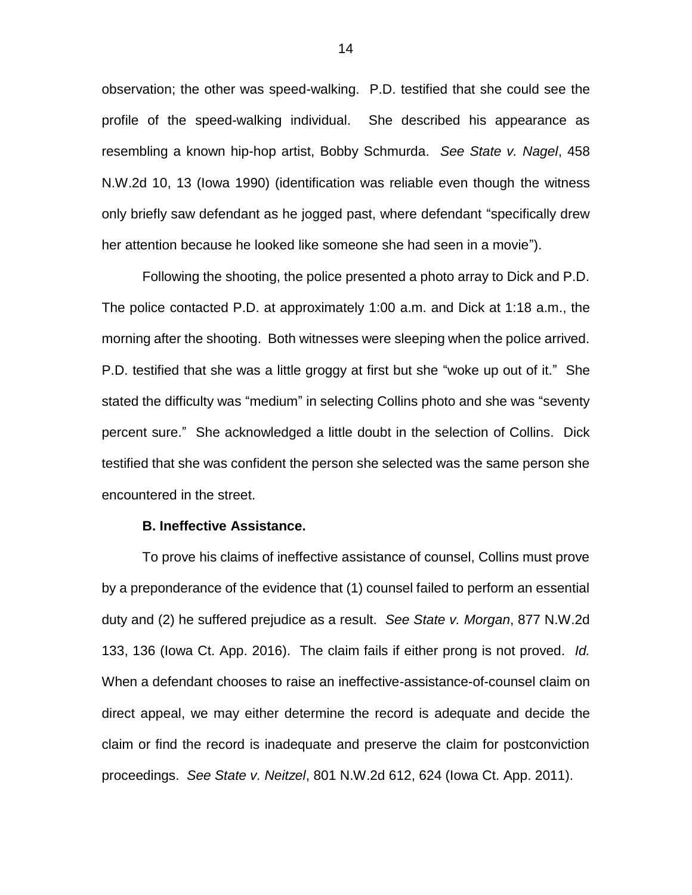observation; the other was speed-walking. P.D. testified that she could see the profile of the speed-walking individual. She described his appearance as resembling a known hip-hop artist, Bobby Schmurda. *See State v. Nagel*, 458 N.W.2d 10, 13 (Iowa 1990) (identification was reliable even though the witness only briefly saw defendant as he jogged past, where defendant "specifically drew her attention because he looked like someone she had seen in a movie").

Following the shooting, the police presented a photo array to Dick and P.D. The police contacted P.D. at approximately 1:00 a.m. and Dick at 1:18 a.m., the morning after the shooting. Both witnesses were sleeping when the police arrived. P.D. testified that she was a little groggy at first but she "woke up out of it." She stated the difficulty was "medium" in selecting Collins photo and she was "seventy percent sure." She acknowledged a little doubt in the selection of Collins. Dick testified that she was confident the person she selected was the same person she encountered in the street.

#### **B. Ineffective Assistance.**

To prove his claims of ineffective assistance of counsel, Collins must prove by a preponderance of the evidence that (1) counsel failed to perform an essential duty and (2) he suffered prejudice as a result. *See State v. Morgan*, 877 N.W.2d 133, 136 (Iowa Ct. App. 2016). The claim fails if either prong is not proved. *Id.* When a defendant chooses to raise an ineffective-assistance-of-counsel claim on direct appeal, we may either determine the record is adequate and decide the claim or find the record is inadequate and preserve the claim for postconviction proceedings. *See State v. Neitzel*, 801 N.W.2d 612, 624 (Iowa Ct. App. 2011).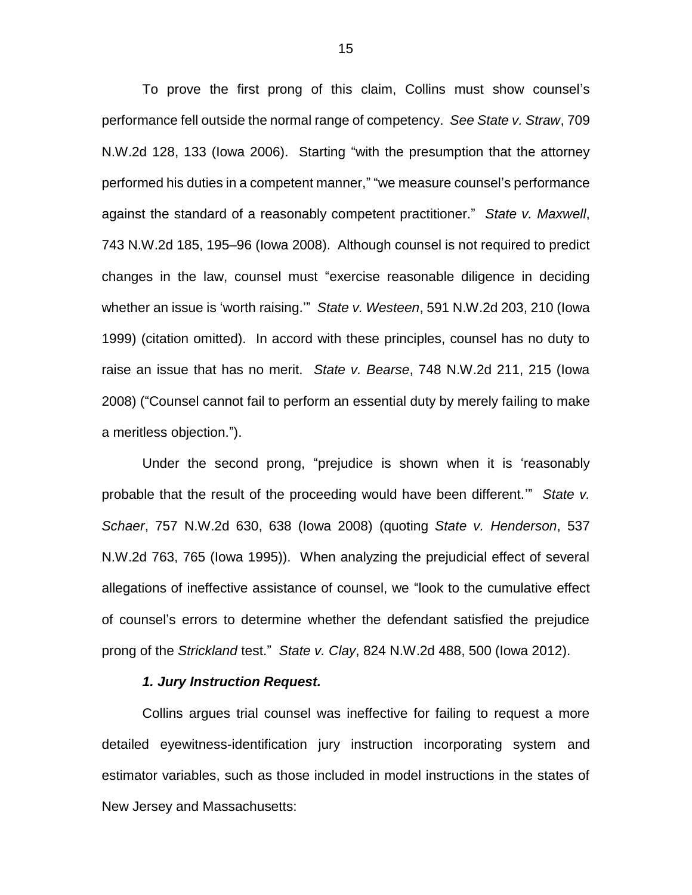To prove the first prong of this claim, Collins must show counsel's performance fell outside the normal range of competency. *See State v. Straw*, 709 N.W.2d 128, 133 (Iowa 2006). Starting "with the presumption that the attorney performed his duties in a competent manner," "we measure counsel's performance against the standard of a reasonably competent practitioner." *State v. Maxwell*, 743 N.W.2d 185, 195–96 (Iowa 2008). Although counsel is not required to predict changes in the law, counsel must "exercise reasonable diligence in deciding whether an issue is 'worth raising.'" *State v. Westeen*, 591 N.W.2d 203, 210 (Iowa 1999) (citation omitted). In accord with these principles, counsel has no duty to raise an issue that has no merit. *State v. Bearse*, 748 N.W.2d 211, 215 (Iowa 2008) ("Counsel cannot fail to perform an essential duty by merely failing to make a meritless objection.").

Under the second prong, "prejudice is shown when it is 'reasonably probable that the result of the proceeding would have been different.'" *State v. Schaer*, 757 N.W.2d 630, 638 (Iowa 2008) (quoting *State v. Henderson*, 537 N.W.2d 763, 765 (Iowa 1995)). When analyzing the prejudicial effect of several allegations of ineffective assistance of counsel, we "look to the cumulative effect of counsel's errors to determine whether the defendant satisfied the prejudice prong of the *Strickland* test." *State v. Clay*, 824 N.W.2d 488, 500 (Iowa 2012).

#### *1. Jury Instruction Request.*

Collins argues trial counsel was ineffective for failing to request a more detailed eyewitness-identification jury instruction incorporating system and estimator variables, such as those included in model instructions in the states of New Jersey and Massachusetts: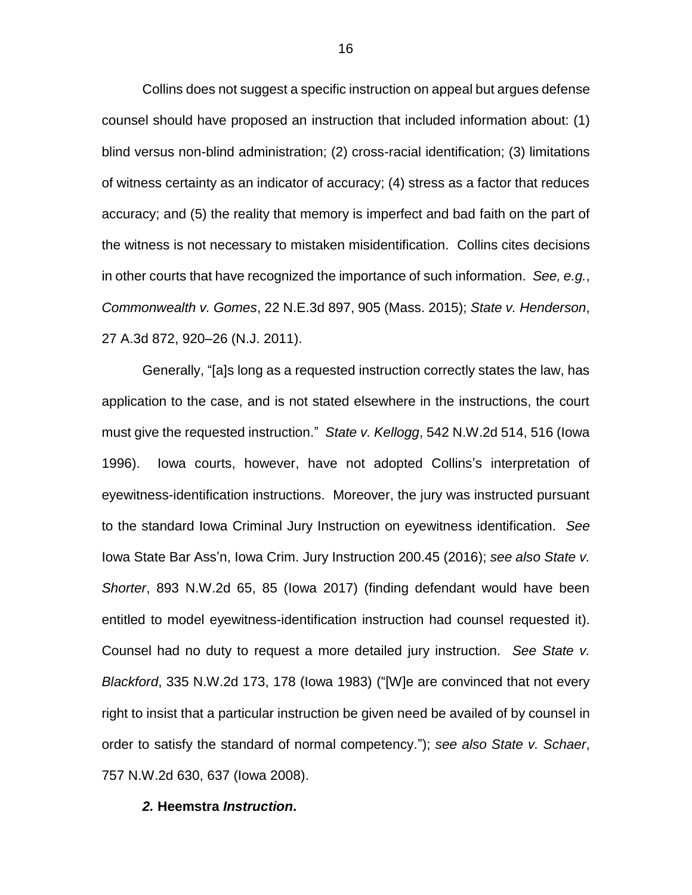Collins does not suggest a specific instruction on appeal but argues defense counsel should have proposed an instruction that included information about: (1) blind versus non-blind administration; (2) cross-racial identification; (3) limitations of witness certainty as an indicator of accuracy; (4) stress as a factor that reduces accuracy; and (5) the reality that memory is imperfect and bad faith on the part of the witness is not necessary to mistaken misidentification. Collins cites decisions in other courts that have recognized the importance of such information. *See, e.g.*, *Commonwealth v. Gomes*, 22 N.E.3d 897, 905 (Mass. 2015); *State v. Henderson*, 27 A.3d 872, 920–26 (N.J. 2011).

Generally, "[a]s long as a requested instruction correctly states the law, has application to the case, and is not stated elsewhere in the instructions, the court must give the requested instruction." *State v. Kellogg*, 542 N.W.2d 514, 516 (Iowa 1996). Iowa courts, however, have not adopted Collins's interpretation of eyewitness-identification instructions. Moreover, the jury was instructed pursuant to the standard Iowa Criminal Jury Instruction on eyewitness identification. *See*  Iowa State Bar Ass'n, Iowa Crim. Jury Instruction 200.45 (2016); *see also State v. Shorter*, 893 N.W.2d 65, 85 (Iowa 2017) (finding defendant would have been entitled to model eyewitness-identification instruction had counsel requested it). Counsel had no duty to request a more detailed jury instruction. *See State v. Blackford*, 335 N.W.2d 173, 178 (Iowa 1983) ("[W]e are convinced that not every right to insist that a particular instruction be given need be availed of by counsel in order to satisfy the standard of normal competency."); *see also State v. Schaer*, 757 N.W.2d 630, 637 (Iowa 2008).

#### *2.* **Heemstra** *Instruction***.**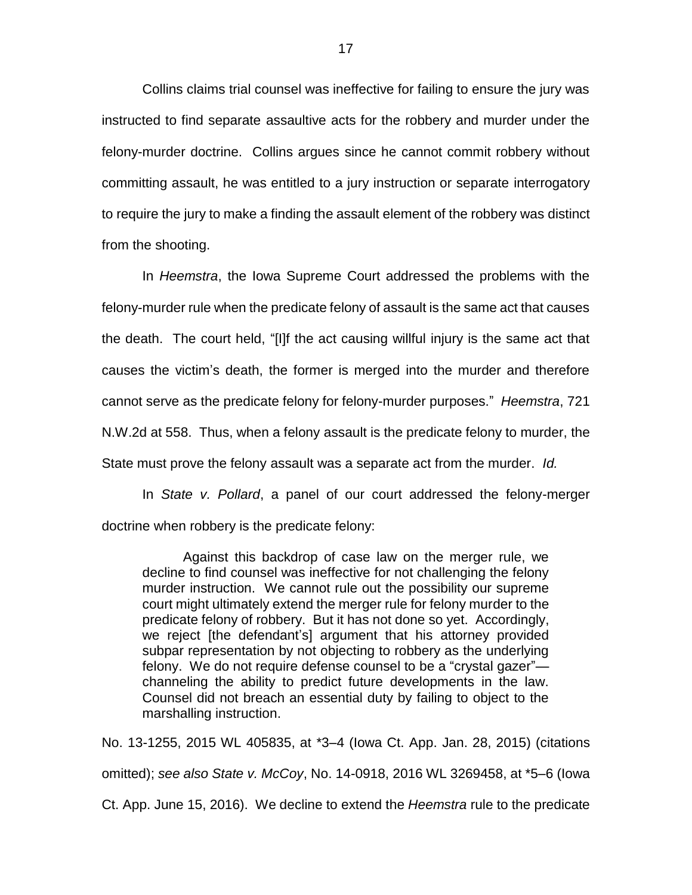Collins claims trial counsel was ineffective for failing to ensure the jury was instructed to find separate assaultive acts for the robbery and murder under the felony-murder doctrine. Collins argues since he cannot commit robbery without committing assault, he was entitled to a jury instruction or separate interrogatory to require the jury to make a finding the assault element of the robbery was distinct from the shooting.

In *Heemstra*, the Iowa Supreme Court addressed the problems with the felony-murder rule when the predicate felony of assault is the same act that causes the death. The court held, "[I]f the act causing willful injury is the same act that causes the victim's death, the former is merged into the murder and therefore cannot serve as the predicate felony for felony-murder purposes." *Heemstra*, 721 N.W.2d at 558. Thus, when a felony assault is the predicate felony to murder, the State must prove the felony assault was a separate act from the murder. *Id.* 

In *State v. Pollard*, a panel of our court addressed the felony-merger doctrine when robbery is the predicate felony:

Against this backdrop of case law on the merger rule, we decline to find counsel was ineffective for not challenging the felony murder instruction. We cannot rule out the possibility our supreme court might ultimately extend the merger rule for felony murder to the predicate felony of robbery. But it has not done so yet. Accordingly, we reject [the defendant's] argument that his attorney provided subpar representation by not objecting to robbery as the underlying felony. We do not require defense counsel to be a "crystal gazer" channeling the ability to predict future developments in the law. Counsel did not breach an essential duty by failing to object to the marshalling instruction.

No. 13-1255, 2015 WL 405835, at \*3–4 (Iowa Ct. App. Jan. 28, 2015) (citations omitted); *see also State v. McCoy*, No. 14-0918, 2016 WL 3269458, at \*5–6 (Iowa Ct. App. June 15, 2016). We decline to extend the *Heemstra* rule to the predicate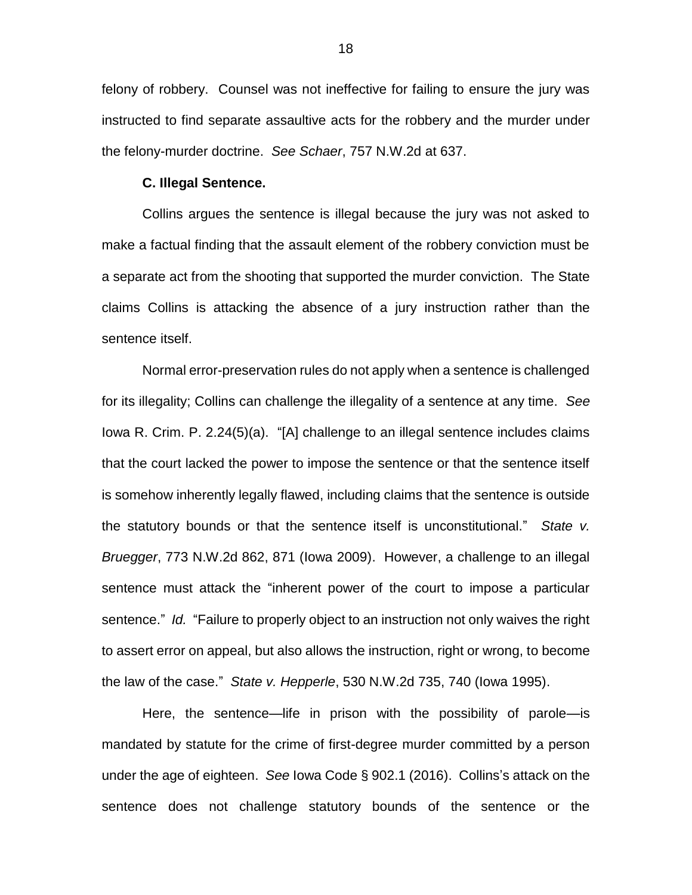felony of robbery. Counsel was not ineffective for failing to ensure the jury was instructed to find separate assaultive acts for the robbery and the murder under the felony-murder doctrine. *See Schaer*, 757 N.W.2d at 637.

#### **C. Illegal Sentence.**

Collins argues the sentence is illegal because the jury was not asked to make a factual finding that the assault element of the robbery conviction must be a separate act from the shooting that supported the murder conviction. The State claims Collins is attacking the absence of a jury instruction rather than the sentence itself.

Normal error-preservation rules do not apply when a sentence is challenged for its illegality; Collins can challenge the illegality of a sentence at any time. *See* Iowa R. Crim. P. 2.24(5)(a). "[A] challenge to an illegal sentence includes claims that the court lacked the power to impose the sentence or that the sentence itself is somehow inherently legally flawed, including claims that the sentence is outside the statutory bounds or that the sentence itself is unconstitutional." *State v. Bruegger*, 773 N.W.2d 862, 871 (Iowa 2009). However, a challenge to an illegal sentence must attack the "inherent power of the court to impose a particular sentence." *Id.* "Failure to properly object to an instruction not only waives the right to assert error on appeal, but also allows the instruction, right or wrong, to become the law of the case." *State v. Hepperle*, 530 N.W.2d 735, 740 (Iowa 1995).

Here, the sentence—life in prison with the possibility of parole—is mandated by statute for the crime of first-degree murder committed by a person under the age of eighteen. *See* Iowa Code § 902.1 (2016). Collins's attack on the sentence does not challenge statutory bounds of the sentence or the